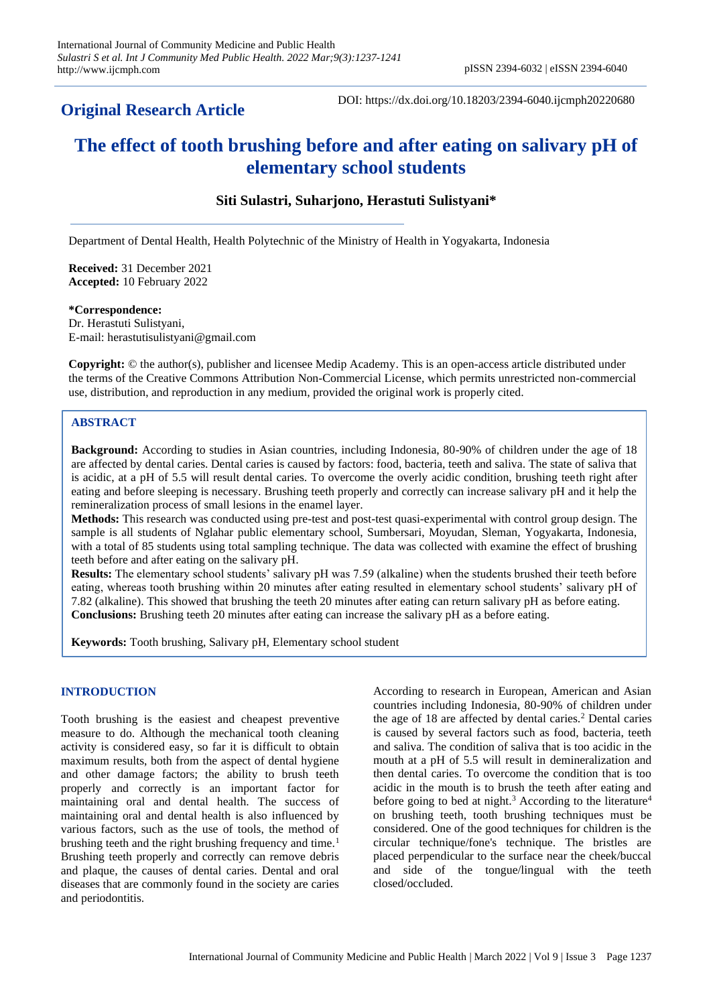# **Original Research Article**

DOI: https://dx.doi.org/10.18203/2394-6040.ijcmph20220680

# **The effect of tooth brushing before and after eating on salivary pH of elementary school students**

# **Siti Sulastri, Suharjono, Herastuti Sulistyani\***

Department of Dental Health, Health Polytechnic of the Ministry of Health in Yogyakarta, Indonesia

**Received:** 31 December 2021 **Accepted:** 10 February 2022

#### **\*Correspondence:**

Dr. Herastuti Sulistyani, E-mail: herastutisulistyani@gmail.com

**Copyright:** © the author(s), publisher and licensee Medip Academy. This is an open-access article distributed under the terms of the Creative Commons Attribution Non-Commercial License, which permits unrestricted non-commercial use, distribution, and reproduction in any medium, provided the original work is properly cited.

### **ABSTRACT**

**Background:** According to studies in Asian countries, including Indonesia, 80-90% of children under the age of 18 are affected by dental caries. Dental caries is caused by factors: food, bacteria, teeth and saliva. The state of saliva that is acidic, at a pH of 5.5 will result dental caries. To overcome the overly acidic condition, brushing teeth right after eating and before sleeping is necessary. Brushing teeth properly and correctly can increase salivary pH and it help the remineralization process of small lesions in the enamel layer.

**Methods:** This research was conducted using pre-test and post-test quasi-experimental with control group design. The sample is all students of Nglahar public elementary school, Sumbersari, Moyudan, Sleman, Yogyakarta, Indonesia, with a total of 85 students using total sampling technique. The data was collected with examine the effect of brushing teeth before and after eating on the salivary pH.

**Results:** The elementary school students' salivary pH was 7.59 (alkaline) when the students brushed their teeth before eating, whereas tooth brushing within 20 minutes after eating resulted in elementary school students' salivary pH of 7.82 (alkaline). This showed that brushing the teeth 20 minutes after eating can return salivary pH as before eating. **Conclusions:** Brushing teeth 20 minutes after eating can increase the salivary pH as a before eating.

**Keywords:** Tooth brushing, Salivary pH, Elementary school student

### **INTRODUCTION**

Tooth brushing is the easiest and cheapest preventive measure to do. Although the mechanical tooth cleaning activity is considered easy, so far it is difficult to obtain maximum results, both from the aspect of dental hygiene and other damage factors; the ability to brush teeth properly and correctly is an important factor for maintaining oral and dental health. The success of maintaining oral and dental health is also influenced by various factors, such as the use of tools, the method of brushing teeth and the right brushing frequency and time.<sup>1</sup> Brushing teeth properly and correctly can remove debris and plaque, the causes of dental caries. Dental and oral diseases that are commonly found in the society are caries and periodontitis.

According to research in European, American and Asian countries including Indonesia, 80-90% of children under the age of  $18$  are affected by dental caries.<sup>2</sup> Dental caries is caused by several factors such as food, bacteria, teeth and saliva. The condition of saliva that is too acidic in the mouth at a pH of 5.5 will result in demineralization and then dental caries. To overcome the condition that is too acidic in the mouth is to brush the teeth after eating and before going to bed at night.<sup>3</sup> According to the literature<sup>4</sup> on brushing teeth, tooth brushing techniques must be considered. One of the good techniques for children is the circular technique/fone's technique. The bristles are placed perpendicular to the surface near the cheek/buccal and side of the tongue/lingual with the teeth closed/occluded.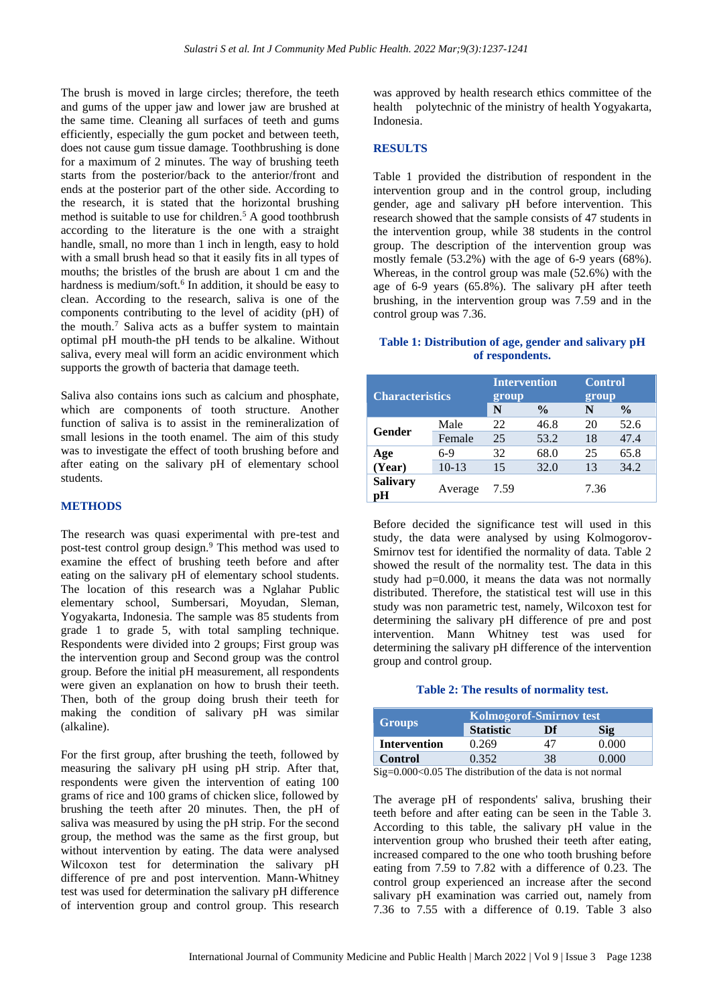The brush is moved in large circles; therefore, the teeth and gums of the upper jaw and lower jaw are brushed at the same time. Cleaning all surfaces of teeth and gums efficiently, especially the gum pocket and between teeth, does not cause gum tissue damage. Toothbrushing is done for a maximum of 2 minutes. The way of brushing teeth starts from the posterior/back to the anterior/front and ends at the posterior part of the other side. According to the research, it is stated that the horizontal brushing method is suitable to use for children.<sup>5</sup> A good toothbrush according to the literature is the one with a straight handle, small, no more than 1 inch in length, easy to hold with a small brush head so that it easily fits in all types of mouths; the bristles of the brush are about 1 cm and the hardness is medium/soft.<sup>6</sup> In addition, it should be easy to clean. According to the research, saliva is one of the components contributing to the level of acidity (pH) of the mouth.<sup>7</sup> Saliva acts as a buffer system to maintain optimal pH mouth-the pH tends to be alkaline. Without saliva, every meal will form an acidic environment which supports the growth of bacteria that damage teeth.

Saliva also contains ions such as calcium and phosphate, which are components of tooth structure. Another function of saliva is to assist in the remineralization of small lesions in the tooth enamel. The aim of this study was to investigate the effect of tooth brushing before and after eating on the salivary pH of elementary school students.

## **METHODS**

The research was quasi experimental with pre-test and post-test control group design.<sup>9</sup> This method was used to examine the effect of brushing teeth before and after eating on the salivary pH of elementary school students. The location of this research was a Nglahar Public elementary school, Sumbersari, Moyudan, Sleman, Yogyakarta, Indonesia. The sample was 85 students from grade 1 to grade 5, with total sampling technique. Respondents were divided into 2 groups; First group was the intervention group and Second group was the control group. Before the initial pH measurement, all respondents were given an explanation on how to brush their teeth. Then, both of the group doing brush their teeth for making the condition of salivary pH was similar (alkaline).

For the first group, after brushing the teeth, followed by measuring the salivary pH using pH strip. After that, respondents were given the intervention of eating 100 grams of rice and 100 grams of chicken slice, followed by brushing the teeth after 20 minutes. Then, the pH of saliva was measured by using the pH strip. For the second group, the method was the same as the first group, but without intervention by eating. The data were analysed Wilcoxon test for determination the salivary pH difference of pre and post intervention. Mann-Whitney test was used for determination the salivary pH difference of intervention group and control group. This research

was approved by health research ethics committee of the health polytechnic of the ministry of health Yogyakarta, Indonesia.

### **RESULTS**

Table 1 provided the distribution of respondent in the intervention group and in the control group, including gender, age and salivary pH before intervention. This research showed that the sample consists of 47 students in the intervention group, while 38 students in the control group. The description of the intervention group was mostly female (53.2%) with the age of 6-9 years (68%). Whereas, in the control group was male (52.6%) with the age of 6-9 years (65.8%). The salivary pH after teeth brushing, in the intervention group was 7.59 and in the control group was 7.36.

### **Table 1: Distribution of age, gender and salivary pH of respondents.**

| <b>Characteristics</b> |         | <b>Intervention</b><br>group<br>N<br>$\frac{0}{0}$ |      | <b>Control</b><br>group<br>$\frac{0}{0}$<br>N |      |
|------------------------|---------|----------------------------------------------------|------|-----------------------------------------------|------|
| <b>Gender</b>          | Male    | 22                                                 | 46.8 | 20                                            | 52.6 |
|                        | Female  | 25                                                 | 53.2 | 18                                            | 47.4 |
| Age<br>(Year)          | $6-9$   | 32                                                 | 68.0 | 25                                            | 65.8 |
|                        | $10-13$ | 15                                                 | 32.0 | 13                                            | 34.2 |
| <b>Salivary</b><br>рH  | Average | 7.59                                               |      | 7.36                                          |      |

Before decided the significance test will used in this study, the data were analysed by using Kolmogorov-Smirnov test for identified the normality of data. Table 2 showed the result of the normality test. The data in this study had p=0.000, it means the data was not normally distributed. Therefore, the statistical test will use in this study was non parametric test, namely, Wilcoxon test for determining the salivary pH difference of pre and post intervention. Mann Whitney test was used for determining the salivary pH difference of the intervention group and control group.

#### **Table 2: The results of normality test.**

|                                                                              | <b>Kolmogorof-Smirnov test</b> |    |       |  |  |  |
|------------------------------------------------------------------------------|--------------------------------|----|-------|--|--|--|
| Groups                                                                       | <b>Statistic</b>               | Df | Sig   |  |  |  |
| <b>Intervention</b>                                                          | 0.269                          | 41 | 0.000 |  |  |  |
| <b>Control</b>                                                               | 0.352                          | 38 | 0.000 |  |  |  |
| $\mathcal{C}$ = 0.000 $\neq$ 0.05 The distribution of the data is not normed |                                |    |       |  |  |  |

Sig=0.000<0.05 The distribution of the data is not normal

The average pH of respondents' saliva, brushing their teeth before and after eating can be seen in the Table 3. According to this table, the salivary pH value in the intervention group who brushed their teeth after eating, increased compared to the one who tooth brushing before eating from 7.59 to 7.82 with a difference of 0.23. The control group experienced an increase after the second salivary pH examination was carried out, namely from 7.36 to 7.55 with a difference of 0.19. Table 3 also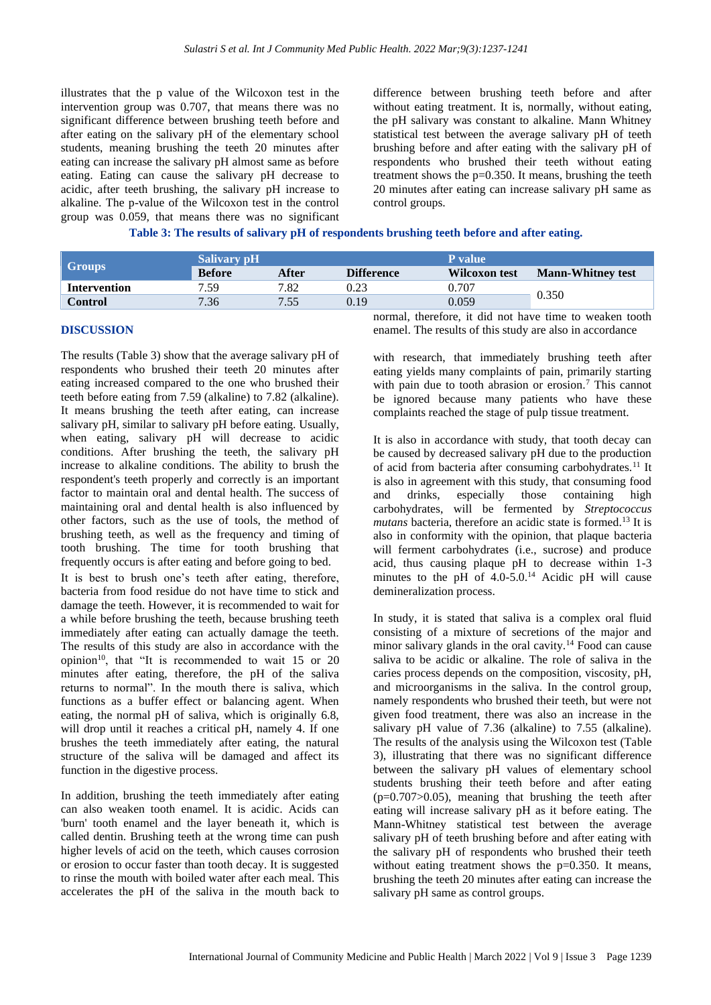illustrates that the p value of the Wilcoxon test in the intervention group was 0.707, that means there was no significant difference between brushing teeth before and after eating on the salivary pH of the elementary school students, meaning brushing the teeth 20 minutes after eating can increase the salivary pH almost same as before eating. Eating can cause the salivary pH decrease to acidic, after teeth brushing, the salivary pH increase to alkaline. The p-value of the Wilcoxon test in the control group was 0.059, that means there was no significant

difference between brushing teeth before and after without eating treatment. It is, normally, without eating, the pH salivary was constant to alkaline. Mann Whitney statistical test between the average salivary pH of teeth brushing before and after eating with the salivary pH of respondents who brushed their teeth without eating treatment shows the p=0.350. It means, brushing the teeth 20 minutes after eating can increase salivary pH same as control groups.

|  | Table 3: The results of salivary pH of respondents brushing teeth before and after eating. |  |  |  |
|--|--------------------------------------------------------------------------------------------|--|--|--|
|  |                                                                                            |  |  |  |

|                     | <b>Salivary pH</b> |       |                   | <b>P</b> value |                          |  |
|---------------------|--------------------|-------|-------------------|----------------|--------------------------|--|
| Groups              | <b>Before</b>      | After | <b>Difference</b> | Wilcoxon test  | <b>Mann-Whitney test</b> |  |
| <b>Intervention</b> | 7.59               | 7.82  | 0.23              | 0.707          |                          |  |
| <b>Control</b>      | 7.36               | 7.55  | 0.19              | 0.059          | 0.350                    |  |

#### **DISCUSSION**

The results (Table 3) show that the average salivary pH of respondents who brushed their teeth 20 minutes after eating increased compared to the one who brushed their teeth before eating from 7.59 (alkaline) to 7.82 (alkaline). It means brushing the teeth after eating, can increase salivary pH, similar to salivary pH before eating. Usually, when eating, salivary pH will decrease to acidic conditions. After brushing the teeth, the salivary pH increase to alkaline conditions. The ability to brush the respondent's teeth properly and correctly is an important factor to maintain oral and dental health. The success of maintaining oral and dental health is also influenced by other factors, such as the use of tools, the method of brushing teeth, as well as the frequency and timing of tooth brushing. The time for tooth brushing that frequently occurs is after eating and before going to bed.

It is best to brush one's teeth after eating, therefore, bacteria from food residue do not have time to stick and damage the teeth. However, it is recommended to wait for a while before brushing the teeth, because brushing teeth immediately after eating can actually damage the teeth. The results of this study are also in accordance with the opinion<sup>10</sup>, that "It is recommended to wait 15 or 20 minutes after eating, therefore, the pH of the saliva returns to normal". In the mouth there is saliva, which functions as a buffer effect or balancing agent. When eating, the normal pH of saliva, which is originally 6.8, will drop until it reaches a critical pH, namely 4. If one brushes the teeth immediately after eating, the natural structure of the saliva will be damaged and affect its function in the digestive process.

In addition, brushing the teeth immediately after eating can also weaken tooth enamel. It is acidic. Acids can 'burn' tooth enamel and the layer beneath it, which is called dentin. Brushing teeth at the wrong time can push higher levels of acid on the teeth, which causes corrosion or erosion to occur faster than tooth decay. It is suggested to rinse the mouth with boiled water after each meal. This accelerates the pH of the saliva in the mouth back to normal, therefore, it did not have time to weaken tooth enamel. The results of this study are also in accordance

with research, that immediately brushing teeth after eating yields many complaints of pain, primarily starting with pain due to tooth abrasion or erosion.<sup>7</sup> This cannot be ignored because many patients who have these complaints reached the stage of pulp tissue treatment.

It is also in accordance with study, that tooth decay can be caused by decreased salivary pH due to the production of acid from bacteria after consuming carbohydrates.<sup>11</sup> It is also in agreement with this study, that consuming food and drinks, especially those containing high carbohydrates, will be fermented by *Streptococcus mutans* bacteria, therefore an acidic state is formed.<sup>13</sup> It is also in conformity with the opinion, that plaque bacteria will ferment carbohydrates (i.e., sucrose) and produce acid, thus causing plaque pH to decrease within 1-3 minutes to the pH of  $4.0-5.0$ .<sup>14</sup> Acidic pH will cause demineralization process.

In study, it is stated that saliva is a complex oral fluid consisting of a mixture of secretions of the major and minor salivary glands in the oral cavity.<sup>14</sup> Food can cause saliva to be acidic or alkaline. The role of saliva in the caries process depends on the composition, viscosity, pH, and microorganisms in the saliva. In the control group, namely respondents who brushed their teeth, but were not given food treatment, there was also an increase in the salivary pH value of 7.36 (alkaline) to 7.55 (alkaline). The results of the analysis using the Wilcoxon test (Table 3), illustrating that there was no significant difference between the salivary pH values of elementary school students brushing their teeth before and after eating  $(p=0.707>0.05)$ , meaning that brushing the teeth after eating will increase salivary pH as it before eating. The Mann-Whitney statistical test between the average salivary pH of teeth brushing before and after eating with the salivary pH of respondents who brushed their teeth without eating treatment shows the p=0.350. It means, brushing the teeth 20 minutes after eating can increase the salivary pH same as control groups.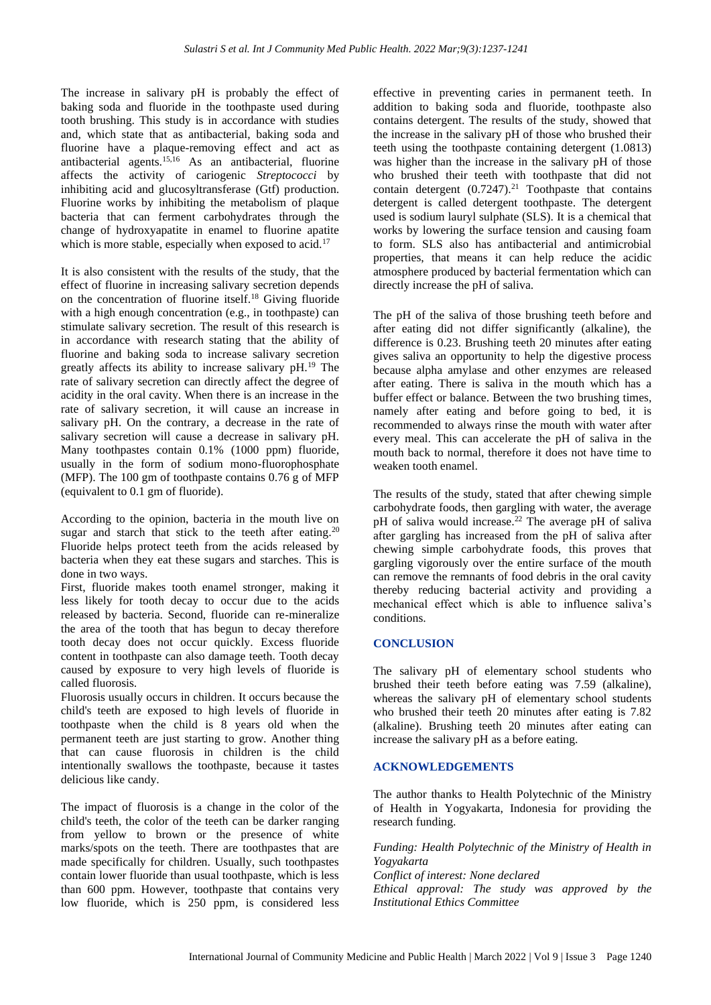The increase in salivary pH is probably the effect of baking soda and fluoride in the toothpaste used during tooth brushing. This study is in accordance with studies and, which state that as antibacterial, baking soda and fluorine have a plaque-removing effect and act as antibacterial agents.15,16 As an antibacterial, fluorine affects the activity of cariogenic *Streptococci* by inhibiting acid and glucosyltransferase (Gtf) production. Fluorine works by inhibiting the metabolism of plaque bacteria that can ferment carbohydrates through the change of hydroxyapatite in enamel to fluorine apatite which is more stable, especially when exposed to acid.<sup>17</sup>

It is also consistent with the results of the study, that the effect of fluorine in increasing salivary secretion depends on the concentration of fluorine itself.<sup>18</sup> Giving fluoride with a high enough concentration (e.g., in toothpaste) can stimulate salivary secretion. The result of this research is in accordance with research stating that the ability of fluorine and baking soda to increase salivary secretion greatly affects its ability to increase salivary pH.<sup>19</sup> The rate of salivary secretion can directly affect the degree of acidity in the oral cavity. When there is an increase in the rate of salivary secretion, it will cause an increase in salivary pH. On the contrary, a decrease in the rate of salivary secretion will cause a decrease in salivary pH. Many toothpastes contain 0.1% (1000 ppm) fluoride, usually in the form of sodium mono-fluorophosphate (MFP). The 100 gm of toothpaste contains 0.76 g of MFP (equivalent to 0.1 gm of fluoride).

According to the opinion, bacteria in the mouth live on sugar and starch that stick to the teeth after eating.<sup>20</sup> Fluoride helps protect teeth from the acids released by bacteria when they eat these sugars and starches. This is done in two ways.

First, fluoride makes tooth enamel stronger, making it less likely for tooth decay to occur due to the acids released by bacteria. Second, fluoride can re-mineralize the area of the tooth that has begun to decay therefore tooth decay does not occur quickly. Excess fluoride content in toothpaste can also damage teeth. Tooth decay caused by exposure to very high levels of fluoride is called fluorosis.

Fluorosis usually occurs in children. It occurs because the child's teeth are exposed to high levels of fluoride in toothpaste when the child is 8 years old when the permanent teeth are just starting to grow. Another thing that can cause fluorosis in children is the child intentionally swallows the toothpaste, because it tastes delicious like candy.

The impact of fluorosis is a change in the color of the child's teeth, the color of the teeth can be darker ranging from yellow to brown or the presence of white marks/spots on the teeth. There are toothpastes that are made specifically for children. Usually, such toothpastes contain lower fluoride than usual toothpaste, which is less than 600 ppm. However, toothpaste that contains very low fluoride, which is 250 ppm, is considered less

effective in preventing caries in permanent teeth. In addition to baking soda and fluoride, toothpaste also contains detergent. The results of the study, showed that the increase in the salivary pH of those who brushed their teeth using the toothpaste containing detergent (1.0813) was higher than the increase in the salivary pH of those who brushed their teeth with toothpaste that did not contain detergent  $(0.7247).<sup>21</sup>$  Toothpaste that contains detergent is called detergent toothpaste. The detergent used is sodium lauryl sulphate (SLS). It is a chemical that works by lowering the surface tension and causing foam to form. SLS also has antibacterial and antimicrobial properties, that means it can help reduce the acidic atmosphere produced by bacterial fermentation which can directly increase the pH of saliva.

The pH of the saliva of those brushing teeth before and after eating did not differ significantly (alkaline), the difference is 0.23. Brushing teeth 20 minutes after eating gives saliva an opportunity to help the digestive process because alpha amylase and other enzymes are released after eating. There is saliva in the mouth which has a buffer effect or balance. Between the two brushing times, namely after eating and before going to bed, it is recommended to always rinse the mouth with water after every meal. This can accelerate the pH of saliva in the mouth back to normal, therefore it does not have time to weaken tooth enamel.

The results of the study, stated that after chewing simple carbohydrate foods, then gargling with water, the average pH of saliva would increase.<sup>22</sup> The average pH of saliva after gargling has increased from the pH of saliva after chewing simple carbohydrate foods, this proves that gargling vigorously over the entire surface of the mouth can remove the remnants of food debris in the oral cavity thereby reducing bacterial activity and providing a mechanical effect which is able to influence saliva's conditions.

### **CONCLUSION**

The salivary pH of elementary school students who brushed their teeth before eating was 7.59 (alkaline), whereas the salivary pH of elementary school students who brushed their teeth 20 minutes after eating is 7.82 (alkaline). Brushing teeth 20 minutes after eating can increase the salivary pH as a before eating.

### **ACKNOWLEDGEMENTS**

The author thanks to Health Polytechnic of the Ministry of Health in Yogyakarta, Indonesia for providing the research funding.

*Funding: Health Polytechnic of the Ministry of Health in Yogyakarta Conflict of interest: None declared Ethical approval: The study was approved by the Institutional Ethics Committee*